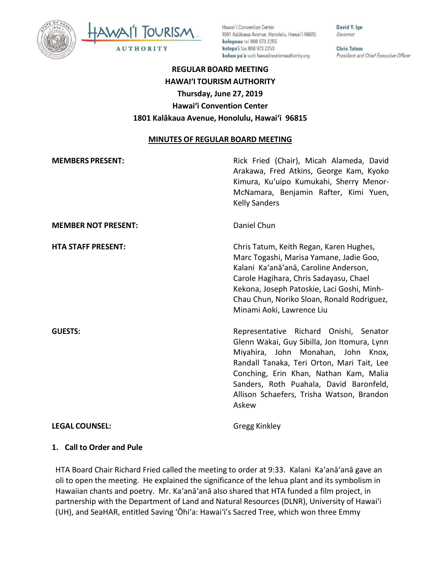



Hawai'i Convention Center 1801 Kalākaua Avenue, Honolulu, Hawai'i 96815 kelepona tel 808 973 2255 kelepa'i fax 808 973 2253 kahua pa'a web hawaiitourismauthority.org

David Y. Ige Governor

**Chris Tatum** President and Chief Executive Officer

# **REGULAR BOARD MEETING HAWAI'I TOURISM AUTHORITY Thursday, June 27, 2019 Hawai'i Convention Center 1801 Kalākaua Avenue, Honolulu, Hawai'i 96815**

#### **MINUTES OF REGULAR BOARD MEETING**

| <b>MEMBERS PRESENT:</b>    | Rick Fried (Chair), Micah Alameda, David<br>Arakawa, Fred Atkins, George Kam, Kyoko<br>Kimura, Ku'uipo Kumukahi, Sherry Menor-<br>McNamara, Benjamin Rafter, Kimi Yuen,<br><b>Kelly Sanders</b>                                                                                                                      |
|----------------------------|----------------------------------------------------------------------------------------------------------------------------------------------------------------------------------------------------------------------------------------------------------------------------------------------------------------------|
| <b>MEMBER NOT PRESENT:</b> | Daniel Chun                                                                                                                                                                                                                                                                                                          |
| <b>HTA STAFF PRESENT:</b>  | Chris Tatum, Keith Regan, Karen Hughes,<br>Marc Togashi, Marisa Yamane, Jadie Goo,<br>Kalani Ka'anā'anā, Caroline Anderson,<br>Carole Hagihara, Chris Sadayasu, Chael<br>Kekona, Joseph Patoskie, Laci Goshi, Minh-<br>Chau Chun, Noriko Sloan, Ronald Rodriguez,<br>Minami Aoki, Lawrence Liu                       |
| <b>GUESTS:</b>             | Representative Richard Onishi, Senator<br>Glenn Wakai, Guy Sibilla, Jon Itomura, Lynn<br>Miyahira, John Monahan, John Knox,<br>Randall Tanaka, Teri Orton, Mari Tait, Lee<br>Conching, Erin Khan, Nathan Kam, Malia<br>Sanders, Roth Puahala, David Baronfeld,<br>Allison Schaefers, Trisha Watson, Brandon<br>Askew |
| <b>LEGAL COUNSEL:</b>      | Gregg Kinkley                                                                                                                                                                                                                                                                                                        |

## **1. Call to Order and Pule**

HTA Board Chair Richard Fried called the meeting to order at 9:33. Kalani Ka'anā'anā gave an oli to open the meeting. He explained the significance of the lehua plant and its symbolism in Hawaiian chants and poetry. Mr. Ka'anā'anā also shared that HTA funded a film project, in partnership with the Department of Land and Natural Resources (DLNR), University of Hawaiʻi (UH), and SeaHAR, entitled Saving ʻŌhiʻa: Hawai'i's Sacred Tree, which won three Emmy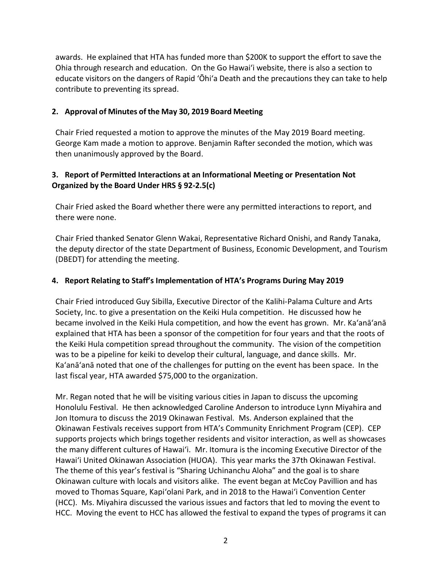awards. He explained that HTA has funded more than \$200K to support the effort to save the Ohia through research and education. On the Go Hawaiʻi website, there is also a section to educate visitors on the dangers of Rapid ʻŌhiʻa Death and the precautions they can take to help contribute to preventing its spread.

#### **2. Approval of Minutes of the May 30, 2019 Board Meeting**

Chair Fried requested a motion to approve the minutes of the May 2019 Board meeting. George Kam made a motion to approve. Benjamin Rafter seconded the motion, which was then unanimously approved by the Board.

### **3. Report of Permitted Interactions at an Informational Meeting or Presentation Not Organized by the Board Under HRS § 92-2.5(c)**

Chair Fried asked the Board whether there were any permitted interactions to report, and there were none.

Chair Fried thanked Senator Glenn Wakai, Representative Richard Onishi, and Randy Tanaka, the deputy director of the state Department of Business, Economic Development, and Tourism (DBEDT) for attending the meeting.

#### **4. Report Relating to Staff's Implementation of HTA's Programs During May 2019**

Chair Fried introduced Guy Sibilla, Executive Director of the Kalihi-Palama Culture and Arts Society, Inc. to give a presentation on the Keiki Hula competition. He discussed how he became involved in the Keiki Hula competition, and how the event has grown. Mr. Ka'anā'anā explained that HTA has been a sponsor of the competition for four years and that the roots of the Keiki Hula competition spread throughout the community. The vision of the competition was to be a pipeline for keiki to develop their cultural, language, and dance skills. Mr. Ka'anā'anā noted that one of the challenges for putting on the event has been space. In the last fiscal year, HTA awarded \$75,000 to the organization.

Mr. Regan noted that he will be visiting various cities in Japan to discuss the upcoming Honolulu Festival. He then acknowledged Caroline Anderson to introduce Lynn Miyahira and Jon Itomura to discuss the 2019 Okinawan Festival. Ms. Anderson explained that the Okinawan Festivals receives support from HTA's Community Enrichment Program (CEP). CEP supports projects which brings together residents and visitor interaction, as well as showcases the many different cultures of Hawai'i. Mr. Itomura is the incoming Executive Director of the Hawai'i United Okinawan Association (HUOA). This year marks the 37th Okinawan Festival. The theme of this year's festival is "Sharing Uchinanchu Aloha" and the goal is to share Okinawan culture with locals and visitors alike. The event began at McCoy Pavillion and has moved to Thomas Square, Kapi'olani Park, and in 2018 to the Hawai'i Convention Center (HCC). Ms. Miyahira discussed the various issues and factors that led to moving the event to HCC. Moving the event to HCC has allowed the festival to expand the types of programs it can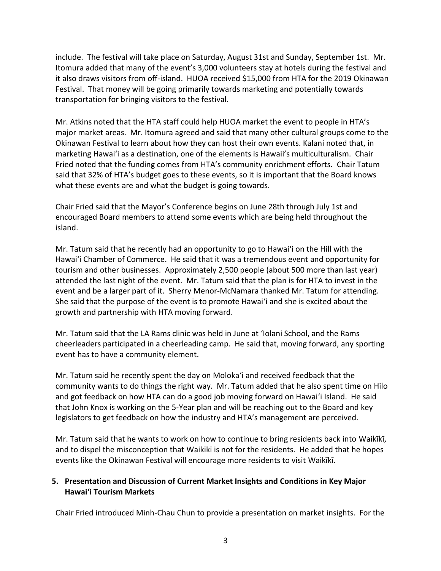include. The festival will take place on Saturday, August 31st and Sunday, September 1st. Mr. Itomura added that many of the event's 3,000 volunteers stay at hotels during the festival and it also draws visitors from off-island. HUOA received \$15,000 from HTA for the 2019 Okinawan Festival. That money will be going primarily towards marketing and potentially towards transportation for bringing visitors to the festival.

Mr. Atkins noted that the HTA staff could help HUOA market the event to people in HTA's major market areas. Mr. Itomura agreed and said that many other cultural groups come to the Okinawan Festival to learn about how they can host their own events. Kalani noted that, in marketing Hawai'i as a destination, one of the elements is Hawaii's multiculturalism. Chair Fried noted that the funding comes from HTA's community enrichment efforts. Chair Tatum said that 32% of HTA's budget goes to these events, so it is important that the Board knows what these events are and what the budget is going towards.

Chair Fried said that the Mayor's Conference begins on June 28th through July 1st and encouraged Board members to attend some events which are being held throughout the island.

Mr. Tatum said that he recently had an opportunity to go to Hawai'i on the Hill with the Hawai'i Chamber of Commerce. He said that it was a tremendous event and opportunity for tourism and other businesses. Approximately 2,500 people (about 500 more than last year) attended the last night of the event. Mr. Tatum said that the plan is for HTA to invest in the event and be a larger part of it. Sherry Menor-McNamara thanked Mr. Tatum for attending. She said that the purpose of the event is to promote Hawai'i and she is excited about the growth and partnership with HTA moving forward.

Mr. Tatum said that the LA Rams clinic was held in June at 'Iolani School, and the Rams cheerleaders participated in a cheerleading camp. He said that, moving forward, any sporting event has to have a community element.

Mr. Tatum said he recently spent the day on Moloka'i and received feedback that the community wants to do things the right way. Mr. Tatum added that he also spent time on Hilo and got feedback on how HTA can do a good job moving forward on Hawai'i Island. He said that John Knox is working on the 5-Year plan and will be reaching out to the Board and key legislators to get feedback on how the industry and HTA's management are perceived.

Mr. Tatum said that he wants to work on how to continue to bring residents back into Waikīkī, and to dispel the misconception that Waikīkī is not for the residents. He added that he hopes events like the Okinawan Festival will encourage more residents to visit Waikīkī.

#### **5. Presentation and Discussion of Current Market Insights and Conditions in Key Major Hawai'i Tourism Markets**

Chair Fried introduced Minh-Chau Chun to provide a presentation on market insights. For the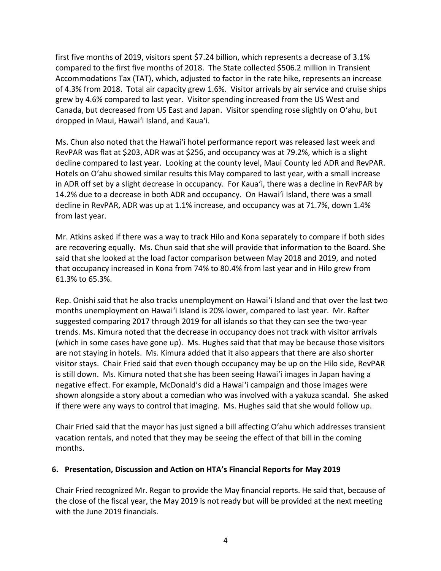first five months of 2019, visitors spent \$7.24 billion, which represents a decrease of 3.1% compared to the first five months of 2018. The State collected \$506.2 million in Transient Accommodations Tax (TAT), which, adjusted to factor in the rate hike, represents an increase of 4.3% from 2018. Total air capacity grew 1.6%. Visitor arrivals by air service and cruise ships grew by 4.6% compared to last year. Visitor spending increased from the US West and Canada, but decreased from US East and Japan. Visitor spending rose slightly on O'ahu, but dropped in Maui, Hawai'i Island, and Kaua'i.

Ms. Chun also noted that the Hawai'i hotel performance report was released last week and RevPAR was flat at \$203, ADR was at \$256, and occupancy was at 79.2%, which is a slight decline compared to last year. Looking at the county level, Maui County led ADR and RevPAR. Hotels on O'ahu showed similar results this May compared to last year, with a small increase in ADR off set by a slight decrease in occupancy. For Kaua'i, there was a decline in RevPAR by 14.2% due to a decrease in both ADR and occupancy. On Hawai'i Island, there was a small decline in RevPAR, ADR was up at 1.1% increase, and occupancy was at 71.7%, down 1.4% from last year.

Mr. Atkins asked if there was a way to track Hilo and Kona separately to compare if both sides are recovering equally. Ms. Chun said that she will provide that information to the Board. She said that she looked at the load factor comparison between May 2018 and 2019, and noted that occupancy increased in Kona from 74% to 80.4% from last year and in Hilo grew from 61.3% to 65.3%.

Rep. Onishi said that he also tracks unemployment on Hawai'i Island and that over the last two months unemployment on Hawai'i Island is 20% lower, compared to last year. Mr. Rafter suggested comparing 2017 through 2019 for all islands so that they can see the two-year trends. Ms. Kimura noted that the decrease in occupancy does not track with visitor arrivals (which in some cases have gone up). Ms. Hughes said that that may be because those visitors are not staying in hotels. Ms. Kimura added that it also appears that there are also shorter visitor stays. Chair Fried said that even though occupancy may be up on the Hilo side, RevPAR is still down. Ms. Kimura noted that she has been seeing Hawai'i images in Japan having a negative effect. For example, McDonald's did a Hawai'i campaign and those images were shown alongside a story about a comedian who was involved with a yakuza scandal. She asked if there were any ways to control that imaging. Ms. Hughes said that she would follow up.

Chair Fried said that the mayor has just signed a bill affecting O'ahu which addresses transient vacation rentals, and noted that they may be seeing the effect of that bill in the coming months.

#### **6. Presentation, Discussion and Action on HTA's Financial Reports for May 2019**

Chair Fried recognized Mr. Regan to provide the May financial reports. He said that, because of the close of the fiscal year, the May 2019 is not ready but will be provided at the next meeting with the June 2019 financials.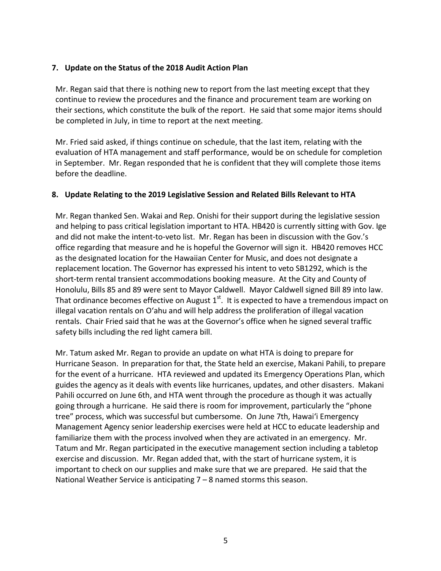#### **7. Update on the Status of the 2018 Audit Action Plan**

Mr. Regan said that there is nothing new to report from the last meeting except that they continue to review the procedures and the finance and procurement team are working on their sections, which constitute the bulk of the report. He said that some major items should be completed in July, in time to report at the next meeting.

Mr. Fried said asked, if things continue on schedule, that the last item, relating with the evaluation of HTA management and staff performance, would be on schedule for completion in September. Mr. Regan responded that he is confident that they will complete those items before the deadline.

#### **8. Update Relating to the 2019 Legislative Session and Related Bills Relevant to HTA**

Mr. Regan thanked Sen. Wakai and Rep. Onishi for their support during the legislative session and helping to pass critical legislation important to HTA. HB420 is currently sitting with Gov. Ige and did not make the intent-to-veto list. Mr. Regan has been in discussion with the Gov.'s office regarding that measure and he is hopeful the Governor will sign it. HB420 removes HCC as the designated location for the Hawaiian Center for Music, and does not designate a replacement location. The Governor has expressed his intent to veto SB1292, which is the short-term rental transient accommodations booking measure. At the City and County of Honolulu, Bills 85 and 89 were sent to Mayor Caldwell. Mayor Caldwell signed Bill 89 into law. That ordinance becomes effective on August  $1<sup>st</sup>$ . It is expected to have a tremendous impact on illegal vacation rentals on O'ahu and will help address the proliferation of illegal vacation rentals. Chair Fried said that he was at the Governor's office when he signed several traffic safety bills including the red light camera bill.

Mr. Tatum asked Mr. Regan to provide an update on what HTA is doing to prepare for Hurricane Season. In preparation for that, the State held an exercise, Makani Pahili, to prepare for the event of a hurricane. HTA reviewed and updated its Emergency Operations Plan, which guides the agency as it deals with events like hurricanes, updates, and other disasters. Makani Pahili occurred on June 6th, and HTA went through the procedure as though it was actually going through a hurricane. He said there is room for improvement, particularly the "phone tree" process, which was successful but cumbersome. On June 7th, Hawai'i Emergency Management Agency senior leadership exercises were held at HCC to educate leadership and familiarize them with the process involved when they are activated in an emergency. Mr. Tatum and Mr. Regan participated in the executive management section including a tabletop exercise and discussion. Mr. Regan added that, with the start of hurricane system, it is important to check on our supplies and make sure that we are prepared. He said that the National Weather Service is anticipating 7 – 8 named storms this season.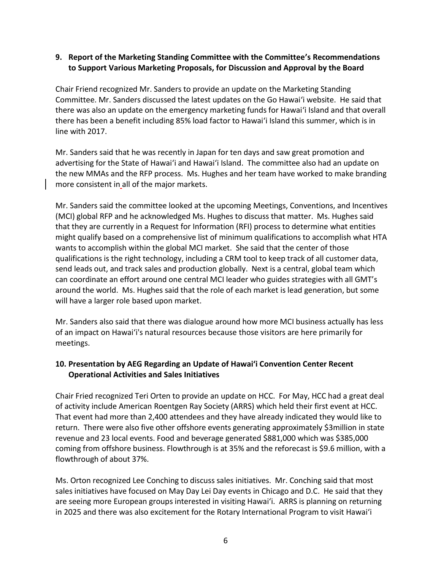#### **9. Report of the Marketing Standing Committee with the Committee's Recommendations to Support Various Marketing Proposals, for Discussion and Approval by the Board**

Chair Friend recognized Mr. Sanders to provide an update on the Marketing Standing Committee. Mr. Sanders discussed the latest updates on the Go Hawai'i website. He said that there was also an update on the emergency marketing funds for Hawai'i Island and that overall there has been a benefit including 85% load factor to Hawai'i Island this summer, which is in line with 2017.

Mr. Sanders said that he was recently in Japan for ten days and saw great promotion and advertising for the State of Hawai'i and Hawai'i Island. The committee also had an update on the new MMAs and the RFP process. Ms. Hughes and her team have worked to make branding more consistent in all of the major markets.

Mr. Sanders said the committee looked at the upcoming Meetings, Conventions, and Incentives (MCI) global RFP and he acknowledged Ms. Hughes to discuss that matter. Ms. Hughes said that they are currently in a Request for Information (RFI) process to determine what entities might qualify based on a comprehensive list of minimum qualifications to accomplish what HTA wants to accomplish within the global MCI market. She said that the center of those qualifications is the right technology, including a CRM tool to keep track of all customer data, send leads out, and track sales and production globally. Next is a central, global team which can coordinate an effort around one central MCI leader who guides strategies with all GMT's around the world. Ms. Hughes said that the role of each market is lead generation, but some will have a larger role based upon market.

Mr. Sanders also said that there was dialogue around how more MCI business actually has less of an impact on Hawai'i's natural resources because those visitors are here primarily for meetings.

#### **10. Presentation by AEG Regarding an Update of Hawai'i Convention Center Recent Operational Activities and Sales Initiatives**

Chair Fried recognized Teri Orten to provide an update on HCC. For May, HCC had a great deal of activity include American Roentgen Ray Society (ARRS) which held their first event at HCC. That event had more than 2,400 attendees and they have already indicated they would like to return. There were also five other offshore events generating approximately \$3million in state revenue and 23 local events. Food and beverage generated \$881,000 which was \$385,000 coming from offshore business. Flowthrough is at 35% and the reforecast is \$9.6 million, with a flowthrough of about 37%.

Ms. Orton recognized Lee Conching to discuss sales initiatives. Mr. Conching said that most sales initiatives have focused on May Day Lei Day events in Chicago and D.C. He said that they are seeing more European groups interested in visiting Hawai'i. ARRS is planning on returning in 2025 and there was also excitement for the Rotary International Program to visit Hawai'i